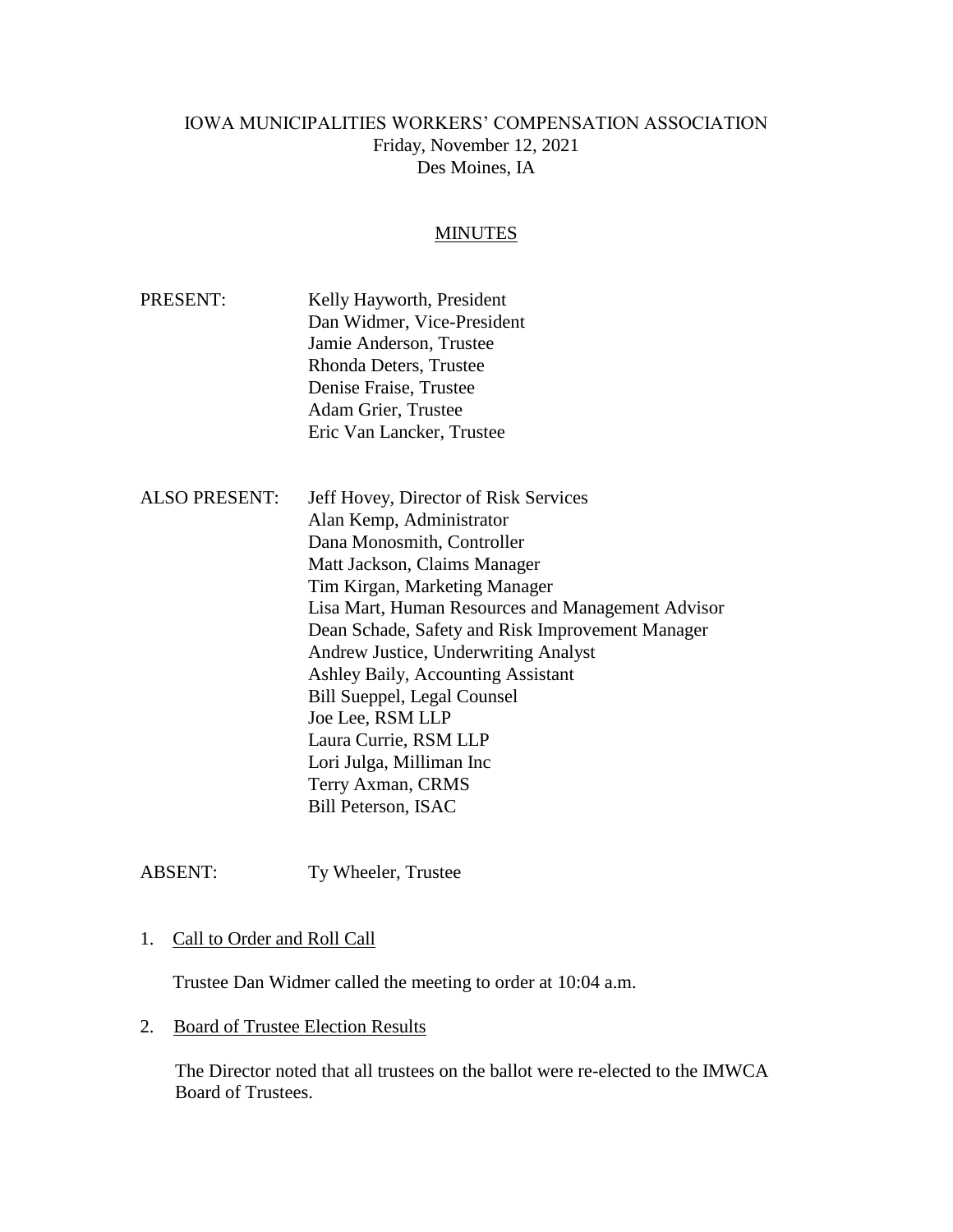# IOWA MUNICIPALITIES WORKERS' COMPENSATION ASSOCIATION Friday, November 12, 2021 Des Moines, IA

#### MINUTES

- PRESENT: Kelly Hayworth, President Dan Widmer, Vice-President Jamie Anderson, Trustee Rhonda Deters, Trustee Denise Fraise, Trustee Adam Grier, Trustee Eric Van Lancker, Trustee
- ALSO PRESENT: Jeff Hovey, Director of Risk Services Alan Kemp, Administrator Dana Monosmith, Controller Matt Jackson, Claims Manager Tim Kirgan, Marketing Manager Lisa Mart, Human Resources and Management Advisor Dean Schade, Safety and Risk Improvement Manager Andrew Justice, Underwriting Analyst Ashley Baily, Accounting Assistant Bill Sueppel, Legal Counsel Joe Lee, RSM LLP Laura Currie, RSM LLP Lori Julga, Milliman Inc Terry Axman, CRMS Bill Peterson, ISAC

ABSENT: Ty Wheeler, Trustee

## 1. Call to Order and Roll Call

Trustee Dan Widmer called the meeting to order at 10:04 a.m.

2. Board of Trustee Election Results

The Director noted that all trustees on the ballot were re-elected to the IMWCA Board of Trustees.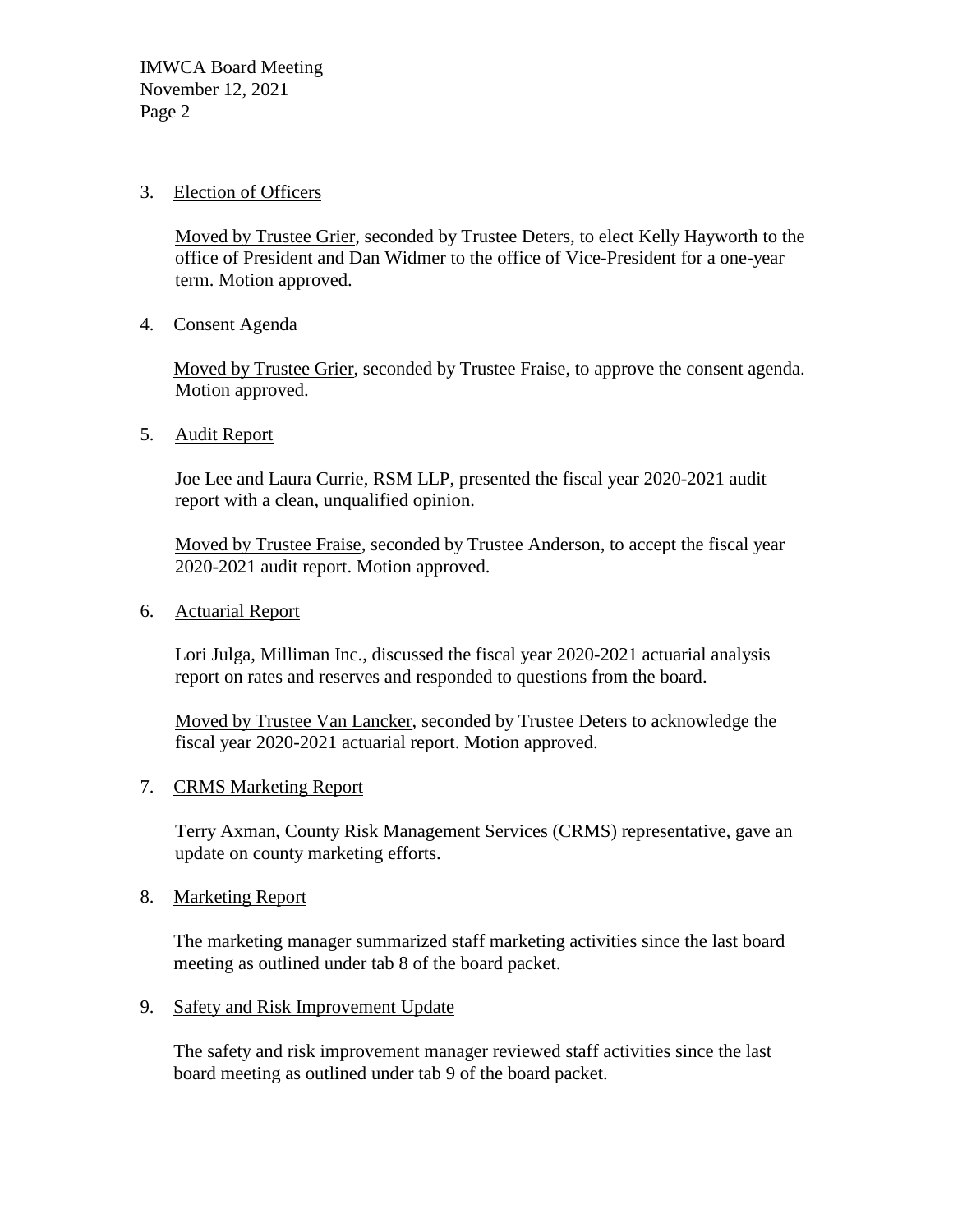## 3. Election of Officers

Moved by Trustee Grier, seconded by Trustee Deters, to elect Kelly Hayworth to the office of President and Dan Widmer to the office of Vice-President for a one-year term. Motion approved.

4. Consent Agenda

Moved by Trustee Grier, seconded by Trustee Fraise, to approve the consent agenda. Motion approved.

5. Audit Report

Joe Lee and Laura Currie, RSM LLP, presented the fiscal year 2020-2021 audit report with a clean, unqualified opinion.

Moved by Trustee Fraise, seconded by Trustee Anderson, to accept the fiscal year 2020-2021 audit report. Motion approved.

6. Actuarial Report

Lori Julga, Milliman Inc., discussed the fiscal year 2020-2021 actuarial analysis report on rates and reserves and responded to questions from the board.

Moved by Trustee Van Lancker, seconded by Trustee Deters to acknowledge the fiscal year 2020-2021 actuarial report. Motion approved.

## 7. CRMS Marketing Report

Terry Axman, County Risk Management Services (CRMS) representative, gave an update on county marketing efforts.

## 8. Marketing Report

The marketing manager summarized staff marketing activities since the last board meeting as outlined under tab 8 of the board packet.

# 9. Safety and Risk Improvement Update

The safety and risk improvement manager reviewed staff activities since the last board meeting as outlined under tab 9 of the board packet.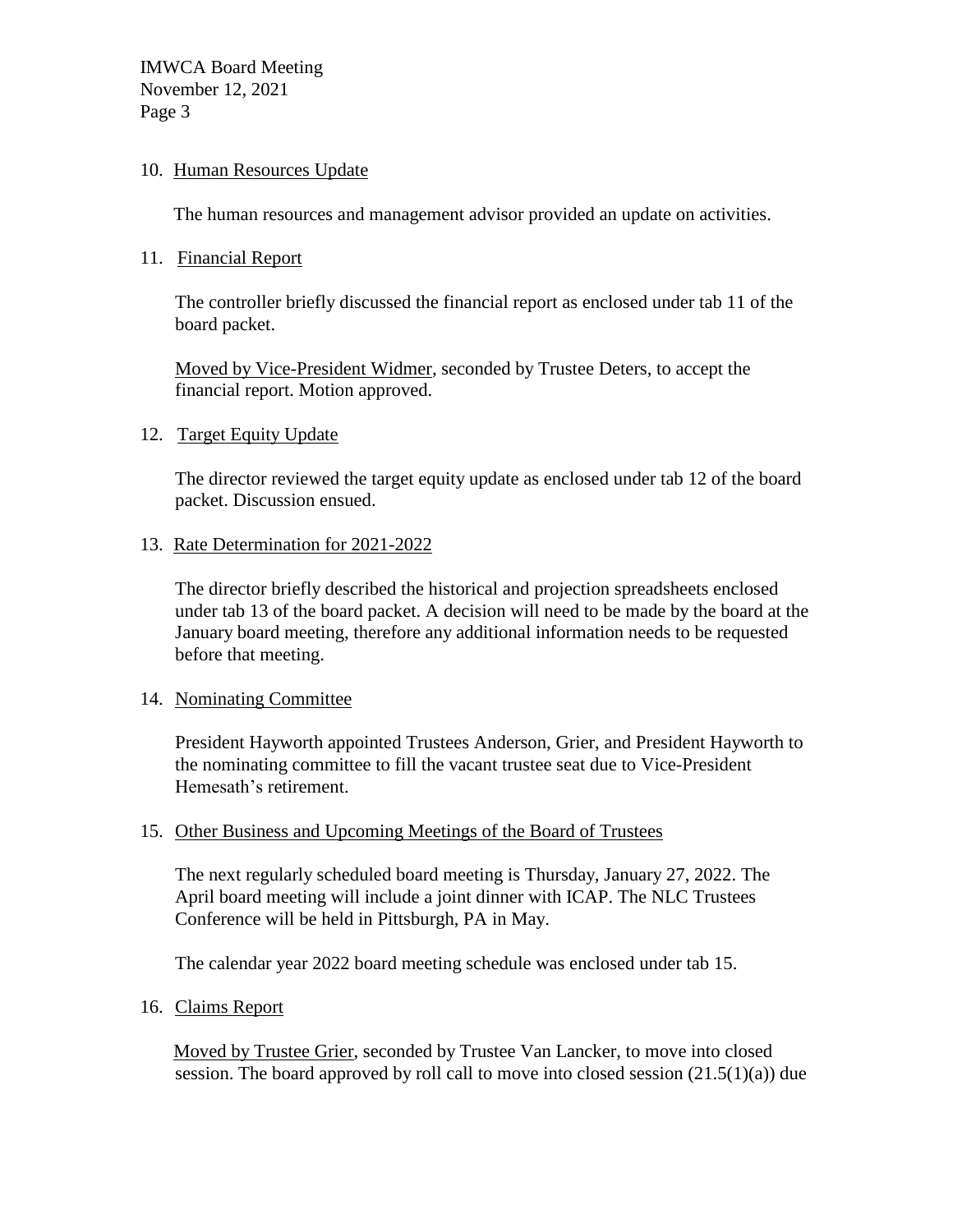IMWCA Board Meeting November 12, 2021 Page 3

### 10. Human Resources Update

The human resources and management advisor provided an update on activities.

11. Financial Report

The controller briefly discussed the financial report as enclosed under tab 11 of the board packet.

Moved by Vice-President Widmer, seconded by Trustee Deters, to accept the financial report. Motion approved.

### 12. Target Equity Update

The director reviewed the target equity update as enclosed under tab 12 of the board packet. Discussion ensued.

### 13. Rate Determination for 2021-2022

The director briefly described the historical and projection spreadsheets enclosed under tab 13 of the board packet. A decision will need to be made by the board at the January board meeting, therefore any additional information needs to be requested before that meeting.

#### 14. Nominating Committee

President Hayworth appointed Trustees Anderson, Grier, and President Hayworth to the nominating committee to fill the vacant trustee seat due to Vice-President Hemesath's retirement.

## 15. Other Business and Upcoming Meetings of the Board of Trustees

The next regularly scheduled board meeting is Thursday, January 27, 2022. The April board meeting will include a joint dinner with ICAP. The NLC Trustees Conference will be held in Pittsburgh, PA in May.

The calendar year 2022 board meeting schedule was enclosed under tab 15.

## 16. Claims Report

Moved by Trustee Grier, seconded by Trustee Van Lancker, to move into closed session. The board approved by roll call to move into closed session  $(21.5(1)(a))$  due